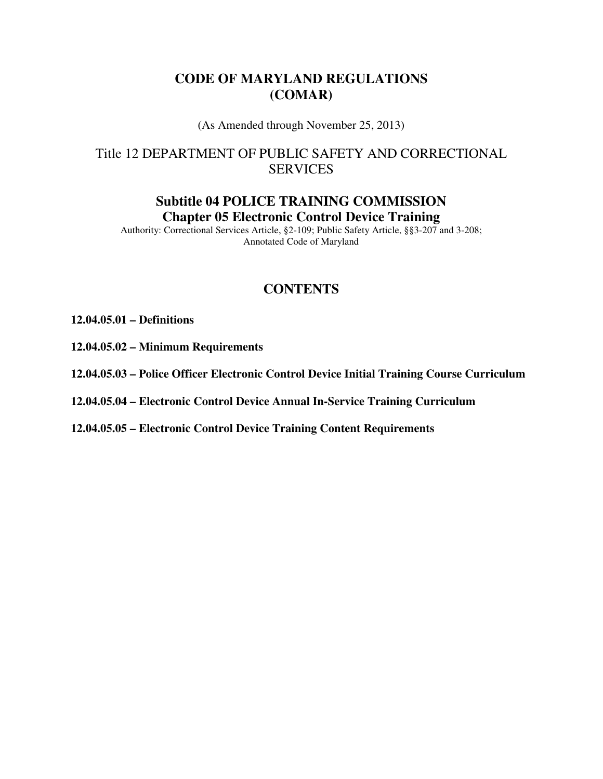## **CODE OF MARYLAND REGULATIONS (COMAR)**

(As Amended through November 25, 2013)

# Title 12 DEPARTMENT OF PUBLIC SAFETY AND CORRECTIONAL SERVICES

## **Subtitle 04 POLICE TRAINING COMMISSION Chapter 05 Electronic Control Device Training**

Authority: Correctional Services Article, §2-109; Public Safety Article, §§3-207 and 3-208; Annotated Code of Maryland

# **CONTENTS**

#### **12.04.05.01 – Definitions**

- **12.04.05.02 Minimum Requirements**
- **12.04.05.03 Police Officer Electronic Control Device Initial Training Course Curriculum**
- **12.04.05.04 Electronic Control Device Annual In-Service Training Curriculum**
- **12.04.05.05 Electronic Control Device Training Content Requirements**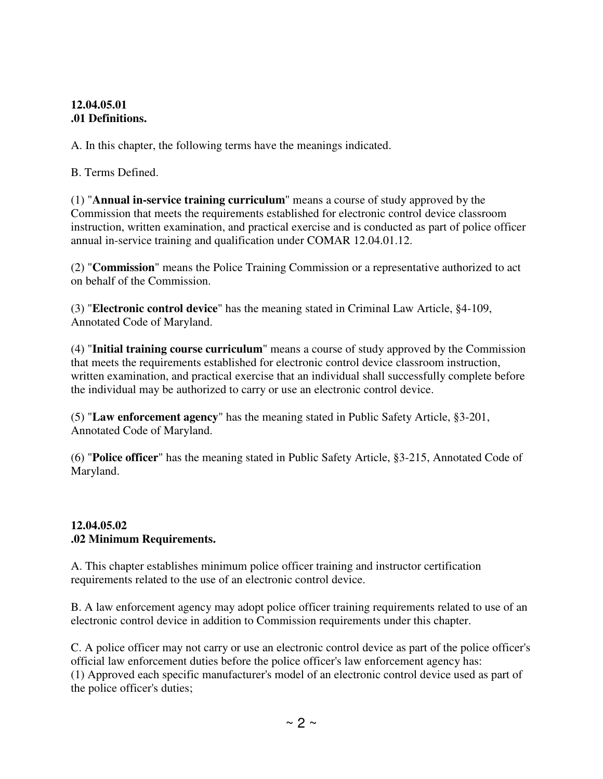#### **12.04.05.01 .01 Definitions.**

A. In this chapter, the following terms have the meanings indicated.

B. Terms Defined.

(1) "**Annual in-service training curriculum**" means a course of study approved by the Commission that meets the requirements established for electronic control device classroom instruction, written examination, and practical exercise and is conducted as part of police officer annual in-service training and qualification under COMAR 12.04.01.12.

(2) "**Commission**" means the Police Training Commission or a representative authorized to act on behalf of the Commission.

(3) "**Electronic control device**" has the meaning stated in Criminal Law Article, §4-109, Annotated Code of Maryland.

(4) "**Initial training course curriculum**" means a course of study approved by the Commission that meets the requirements established for electronic control device classroom instruction, written examination, and practical exercise that an individual shall successfully complete before the individual may be authorized to carry or use an electronic control device.

(5) "**Law enforcement agency**" has the meaning stated in Public Safety Article, §3-201, Annotated Code of Maryland.

(6) "**Police officer**" has the meaning stated in Public Safety Article, §3-215, Annotated Code of Maryland.

#### **12.04.05.02 .02 Minimum Requirements.**

A. This chapter establishes minimum police officer training and instructor certification requirements related to the use of an electronic control device.

B. A law enforcement agency may adopt police officer training requirements related to use of an electronic control device in addition to Commission requirements under this chapter.

C. A police officer may not carry or use an electronic control device as part of the police officer's official law enforcement duties before the police officer's law enforcement agency has: (1) Approved each specific manufacturer's model of an electronic control device used as part of the police officer's duties;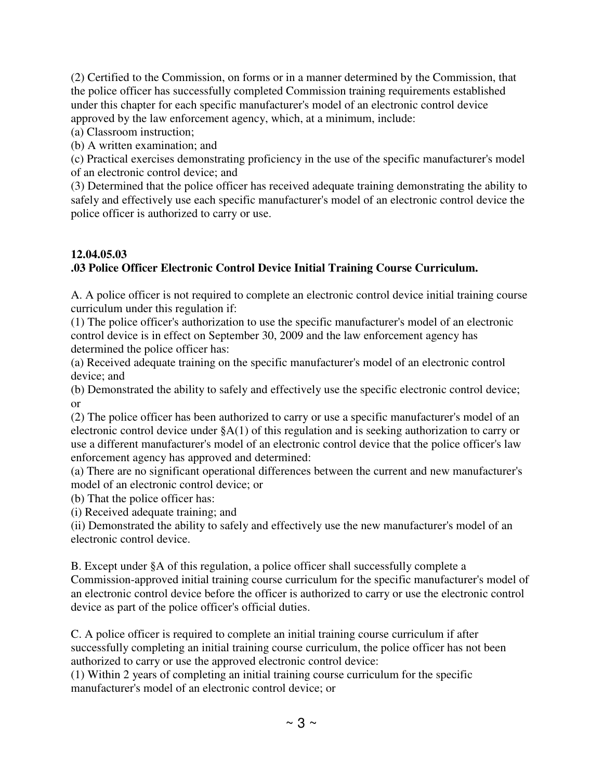(2) Certified to the Commission, on forms or in a manner determined by the Commission, that the police officer has successfully completed Commission training requirements established under this chapter for each specific manufacturer's model of an electronic control device approved by the law enforcement agency, which, at a minimum, include:

(a) Classroom instruction;

(b) A written examination; and

(c) Practical exercises demonstrating proficiency in the use of the specific manufacturer's model of an electronic control device; and

(3) Determined that the police officer has received adequate training demonstrating the ability to safely and effectively use each specific manufacturer's model of an electronic control device the police officer is authorized to carry or use.

# **12.04.05.03 .03 Police Officer Electronic Control Device Initial Training Course Curriculum.**

A. A police officer is not required to complete an electronic control device initial training course curriculum under this regulation if:

(1) The police officer's authorization to use the specific manufacturer's model of an electronic control device is in effect on September 30, 2009 and the law enforcement agency has determined the police officer has:

(a) Received adequate training on the specific manufacturer's model of an electronic control device; and

(b) Demonstrated the ability to safely and effectively use the specific electronic control device; or

(2) The police officer has been authorized to carry or use a specific manufacturer's model of an electronic control device under §A(1) of this regulation and is seeking authorization to carry or use a different manufacturer's model of an electronic control device that the police officer's law enforcement agency has approved and determined:

(a) There are no significant operational differences between the current and new manufacturer's model of an electronic control device; or

(b) That the police officer has:

(i) Received adequate training; and

(ii) Demonstrated the ability to safely and effectively use the new manufacturer's model of an electronic control device.

B. Except under §A of this regulation, a police officer shall successfully complete a Commission-approved initial training course curriculum for the specific manufacturer's model of an electronic control device before the officer is authorized to carry or use the electronic control device as part of the police officer's official duties.

C. A police officer is required to complete an initial training course curriculum if after successfully completing an initial training course curriculum, the police officer has not been authorized to carry or use the approved electronic control device:

(1) Within 2 years of completing an initial training course curriculum for the specific manufacturer's model of an electronic control device; or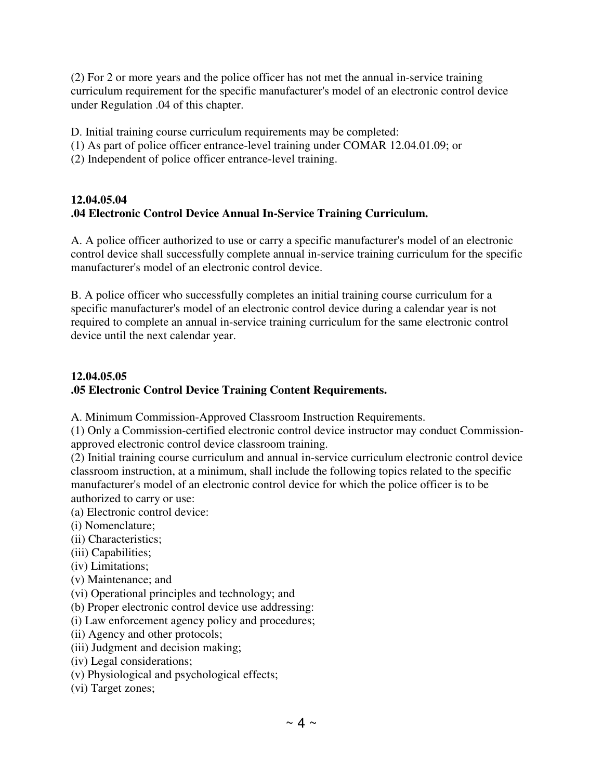(2) For 2 or more years and the police officer has not met the annual in-service training curriculum requirement for the specific manufacturer's model of an electronic control device under Regulation .04 of this chapter.

D. Initial training course curriculum requirements may be completed:

- (1) As part of police officer entrance-level training under COMAR 12.04.01.09; or
- (2) Independent of police officer entrance-level training.

### **12.04.05.04 .04 Electronic Control Device Annual In-Service Training Curriculum.**

A. A police officer authorized to use or carry a specific manufacturer's model of an electronic control device shall successfully complete annual in-service training curriculum for the specific manufacturer's model of an electronic control device.

B. A police officer who successfully completes an initial training course curriculum for a specific manufacturer's model of an electronic control device during a calendar year is not required to complete an annual in-service training curriculum for the same electronic control device until the next calendar year.

#### **12.04.05.05 .05 Electronic Control Device Training Content Requirements.**

A. Minimum Commission-Approved Classroom Instruction Requirements.

(1) Only a Commission-certified electronic control device instructor may conduct Commissionapproved electronic control device classroom training.

(2) Initial training course curriculum and annual in-service curriculum electronic control device classroom instruction, at a minimum, shall include the following topics related to the specific manufacturer's model of an electronic control device for which the police officer is to be authorized to carry or use:

- (a) Electronic control device:
- (i) Nomenclature;
- (ii) Characteristics;
- (iii) Capabilities;
- (iv) Limitations;
- (v) Maintenance; and
- (vi) Operational principles and technology; and
- (b) Proper electronic control device use addressing:
- (i) Law enforcement agency policy and procedures;
- (ii) Agency and other protocols;
- (iii) Judgment and decision making;
- (iv) Legal considerations;
- (v) Physiological and psychological effects;
- (vi) Target zones;